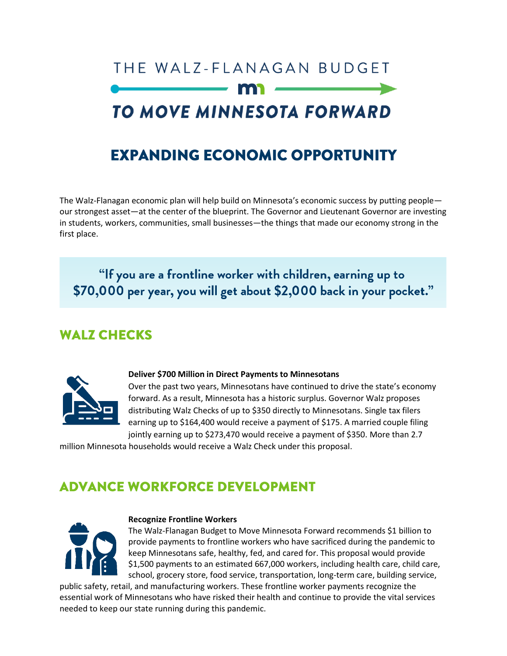# THE WALZ-FLANAGAN BUDGET TO MOVE MINNESOTA FORWARD

# **EXPANDING ECONOMIC OPPORTUNITY**

The Walz-Flanagan economic plan will help build on Minnesota's economic success by putting people our strongest asset—at the center of the blueprint. The Governor and Lieutenant Governor are investing in students, workers, communities, small businesses—the things that made our economy strong in the first place.

"If you are a frontline worker with children, earning up to \$70,000 per year, you will get about \$2,000 back in your pocket."

# **WALZ CHECKS**



#### **Deliver \$700 Million in Direct Payments to Minnesotans**

Over the past two years, Minnesotans have continued to drive the state's economy forward. As a result, Minnesota has a historic surplus. Governor Walz proposes distributing Walz Checks of up to \$350 directly to Minnesotans. Single tax filers earning up to \$164,400 would receive a payment of \$175. A married couple filing jointly earning up to \$273,470 would receive a payment of \$350. More than 2.7

million Minnesota households would receive a Walz Check under this proposal.

# **ADVANCE WORKFORCE DEVELOPMENT**



#### **Recognize Frontline Workers**

The Walz-Flanagan Budget to Move Minnesota Forward recommends \$1 billion to provide payments to frontline workers who have sacrificed during the pandemic to keep Minnesotans safe, healthy, fed, and cared for. This proposal would provide \$1,500 payments to an estimated 667,000 workers, including health care, child care, school, grocery store, food service, transportation, long-term care, building service,

public safety, retail, and manufacturing workers. These frontline worker payments recognize the essential work of Minnesotans who have risked their health and continue to provide the vital services needed to keep our state running during this pandemic.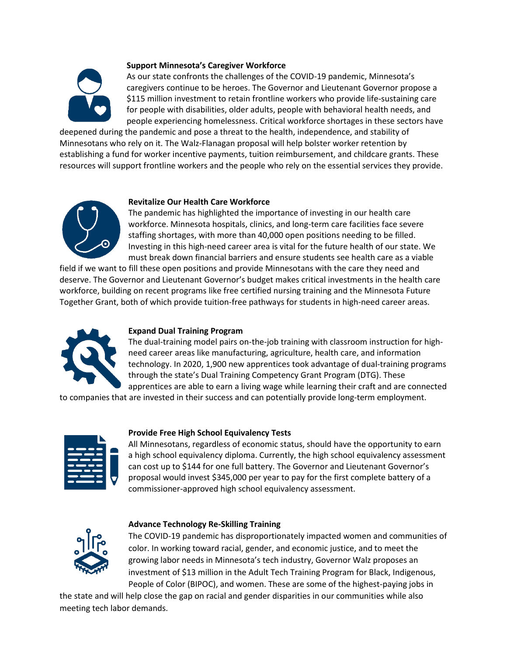

#### **Support Minnesota's Caregiver Workforce**

As our state confronts the challenges of the COVID-19 pandemic, Minnesota's caregivers continue to be heroes. The Governor and Lieutenant Governor propose a \$115 million investment to retain frontline workers who provide life-sustaining care for people with disabilities, older adults, people with behavioral health needs, and people experiencing homelessness. Critical workforce shortages in these sectors have

deepened during the pandemic and pose a threat to the health, independence, and stability of Minnesotans who rely on it. The Walz-Flanagan proposal will help bolster worker retention by establishing a fund for worker incentive payments, tuition reimbursement, and childcare grants. These resources will support frontline workers and the people who rely on the essential services they provide.

#### **Revitalize Our Health Care Workforce**

The pandemic has highlighted the importance of investing in our health care workforce. Minnesota hospitals, clinics, and long-term care facilities face severe staffing shortages, with more than 40,000 open positions needing to be filled. Investing in this high-need career area is vital for the future health of our state. We must break down financial barriers and ensure students see health care as a viable

field if we want to fill these open positions and provide Minnesotans with the care they need and deserve. The Governor and Lieutenant Governor's budget makes critical investments in the health care workforce, building on recent programs like free certified nursing training and the Minnesota Future Together Grant, both of which provide tuition-free pathways for students in high-need career areas.



#### **Expand Dual Training Program**

The dual-training model pairs on-the-job training with classroom instruction for highneed career areas like manufacturing, agriculture, health care, and information technology. In 2020, 1,900 new apprentices took advantage of dual-training programs through the state's Dual Training Competency Grant Program (DTG). These apprentices are able to earn a living wage while learning their craft and are connected

to companies that are invested in their success and can potentially provide long-term employment.



#### **Provide Free High School Equivalency Tests**

All Minnesotans, regardless of economic status, should have the opportunity to earn a high school equivalency diploma. Currently, the high school equivalency assessment can cost up to \$144 for one full battery. The Governor and Lieutenant Governor's proposal would invest \$345,000 per year to pay for the first complete battery of a commissioner-approved high school equivalency assessment.



#### **Advance Technology Re-Skilling Training**

The COVID-19 pandemic has disproportionately impacted women and communities of color. In working toward racial, gender, and economic justice, and to meet the growing labor needs in Minnesota's tech industry, Governor Walz proposes an investment of \$13 million in the Adult Tech Training Program for Black, Indigenous, People of Color (BIPOC), and women. These are some of the highest-paying jobs in

the state and will help close the gap on racial and gender disparities in our communities while also meeting tech labor demands.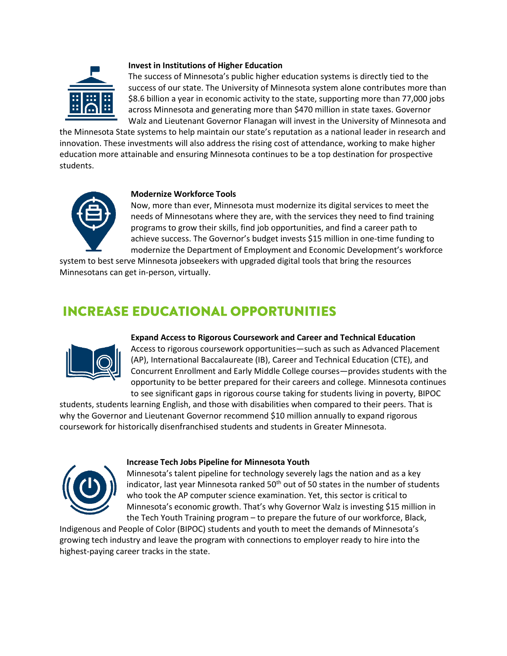

#### **Invest in Institutions of Higher Education**

The success of Minnesota's public higher education systems is directly tied to the success of our state. The University of Minnesota system alone contributes more than \$8.6 billion a year in economic activity to the state, supporting more than 77,000 jobs across Minnesota and generating more than \$470 million in state taxes. Governor Walz and Lieutenant Governor Flanagan will invest in the University of Minnesota and

the Minnesota State systems to help maintain our state's reputation as a national leader in research and innovation. These investments will also address the rising cost of attendance, working to make higher education more attainable and ensuring Minnesota continues to be a top destination for prospective students.



#### **Modernize Workforce Tools**

Now, more than ever, Minnesota must modernize its digital services to meet the needs of Minnesotans where they are, with the services they need to find training programs to grow their skills, find job opportunities, and find a career path to achieve success. The Governor's budget invests \$15 million in one-time funding to modernize the Department of Employment and Economic Development's workforce

system to best serve Minnesota jobseekers with upgraded digital tools that bring the resources Minnesotans can get in-person, virtually.

# **INCREASE EDUCATIONAL OPPORTUNITIES**



**Expand Access to Rigorous Coursework and Career and Technical Education**

Access to rigorous coursework opportunities—such as such as Advanced Placement (AP), International Baccalaureate (IB), Career and Technical Education (CTE), and Concurrent Enrollment and Early Middle College courses—provides students with the opportunity to be better prepared for their careers and college. Minnesota continues to see significant gaps in rigorous course taking for students living in poverty, BIPOC

students, students learning English, and those with disabilities when compared to their peers. That is why the Governor and Lieutenant Governor recommend \$10 million annually to expand rigorous coursework for historically disenfranchised students and students in Greater Minnesota.



#### **Increase Tech Jobs Pipeline for Minnesota Youth**

Minnesota's talent pipeline for technology severely lags the nation and as a key indicator, last year Minnesota ranked  $50<sup>th</sup>$  out of 50 states in the number of students who took the AP computer science examination. Yet, this sector is critical to Minnesota's economic growth. That's why Governor Walz is investing \$15 million in the Tech Youth Training program – to prepare the future of our workforce, Black,

Indigenous and People of Color (BIPOC) students and youth to meet the demands of Minnesota's growing tech industry and leave the program with connections to employer ready to hire into the highest-paying career tracks in the state.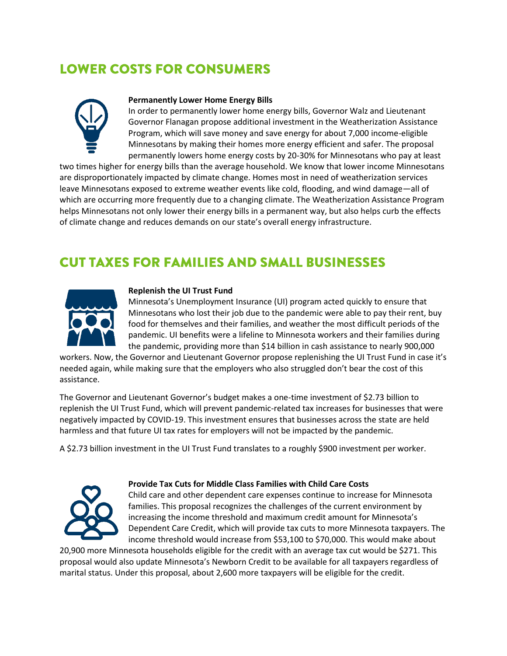# **LOWER COSTS FOR CONSUMERS**



#### **Permanently Lower Home Energy Bills**

In order to permanently lower home energy bills, Governor Walz and Lieutenant Governor Flanagan propose additional investment in the Weatherization Assistance Program, which will save money and save energy for about 7,000 income-eligible Minnesotans by making their homes more energy efficient and safer. The proposal permanently lowers home energy costs by 20-30% for Minnesotans who pay at least

two times higher for energy bills than the average household. We know that lower income Minnesotans are disproportionately impacted by climate change. Homes most in need of weatherization services leave Minnesotans exposed to extreme weather events like cold, flooding, and wind damage—all of which are occurring more frequently due to a changing climate. The Weatherization Assistance Program helps Minnesotans not only lower their energy bills in a permanent way, but also helps curb the effects of climate change and reduces demands on our state's overall energy infrastructure.

# **CUT TAXES FOR FAMILIES AND SMALL BUSINESSES**



#### **Replenish the UI Trust Fund**

Minnesota's Unemployment Insurance (UI) program acted quickly to ensure that Minnesotans who lost their job due to the pandemic were able to pay their rent, buy food for themselves and their families, and weather the most difficult periods of the pandemic. UI benefits were a lifeline to Minnesota workers and their families during the pandemic, providing more than \$14 billion in cash assistance to nearly 900,000

workers. Now, the Governor and Lieutenant Governor propose replenishing the UI Trust Fund in case it's needed again, while making sure that the employers who also struggled don't bear the cost of this assistance.

The Governor and Lieutenant Governor's budget makes a one-time investment of \$2.73 billion to replenish the UI Trust Fund, which will prevent pandemic-related tax increases for businesses that were negatively impacted by COVID-19. This investment ensures that businesses across the state are held harmless and that future UI tax rates for employers will not be impacted by the pandemic.

A \$2.73 billion investment in the UI Trust Fund translates to a roughly \$900 investment per worker.



#### **Provide Tax Cuts for Middle Class Families with Child Care Costs**

Child care and other dependent care expenses continue to increase for Minnesota families. This proposal recognizes the challenges of the current environment by increasing the income threshold and maximum credit amount for Minnesota's Dependent Care Credit, which will provide tax cuts to more Minnesota taxpayers. The income threshold would increase from \$53,100 to \$70,000. This would make about

20,900 more Minnesota households eligible for the credit with an average tax cut would be \$271. This proposal would also update Minnesota's Newborn Credit to be available for all taxpayers regardless of marital status. Under this proposal, about 2,600 more taxpayers will be eligible for the credit.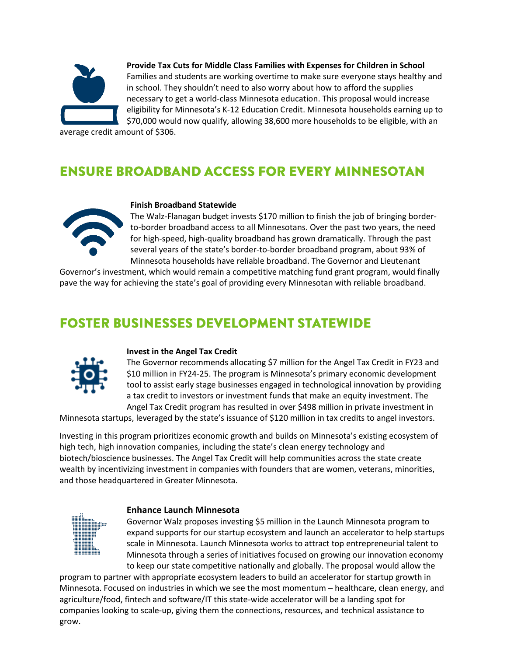

**Provide Tax Cuts for Middle Class Families with Expenses for Children in School** Families and students are working overtime to make sure everyone stays healthy and in school. They shouldn't need to also worry about how to afford the supplies necessary to get a world-class Minnesota education. This proposal would increase eligibility for Minnesota's K-12 Education Credit. Minnesota households earning up to \$70,000 would now qualify, allowing 38,600 more households to be eligible, with an

average credit amount of \$306.

# **ENSURE BROADBAND ACCESS FOR EVERY MINNESOTAN**



#### **Finish Broadband Statewide**

The Walz-Flanagan budget invests \$170 million to finish the job of bringing borderto-border broadband access to all Minnesotans. Over the past two years, the need for high-speed, high-quality broadband has grown dramatically. Through the past several years of the state's border-to-border broadband program, about 93% of Minnesota households have reliable broadband. The Governor and Lieutenant

Governor's investment, which would remain a competitive matching fund grant program, would finally pave the way for achieving the state's goal of providing every Minnesotan with reliable broadband.

### **FOSTER BUSINESSES DEVELOPMENT STATEWIDE**



#### **Invest in the Angel Tax Credit**

The Governor recommends allocating \$7 million for the Angel Tax Credit in FY23 and \$10 million in FY24-25. The program is Minnesota's primary economic development tool to assist early stage businesses engaged in technological innovation by providing a tax credit to investors or investment funds that make an equity investment. The Angel Tax Credit program has resulted in over \$498 million in private investment in

Minnesota startups, leveraged by the state's issuance of \$120 million in tax credits to angel investors.

Investing in this program prioritizes economic growth and builds on Minnesota's existing ecosystem of high tech, high innovation companies, including the state's clean energy technology and biotech/bioscience businesses. The Angel Tax Credit will help communities across the state create wealth by incentivizing investment in companies with founders that are women, veterans, minorities, and those headquartered in Greater Minnesota.



#### **Enhance Launch Minnesota**

Governor Walz proposes investing \$5 million in the Launch Minnesota program to expand supports for our startup ecosystem and launch an accelerator to help startups scale in Minnesota. Launch Minnesota works to attract top entrepreneurial talent to Minnesota through a series of initiatives focused on growing our innovation economy to keep our state competitive nationally and globally. The proposal would allow the

program to partner with appropriate ecosystem leaders to build an accelerator for startup growth in Minnesota. Focused on industries in which we see the most momentum – healthcare, clean energy, and agriculture/food, fintech and software/IT this state-wide accelerator will be a landing spot for companies looking to scale-up, giving them the connections, resources, and technical assistance to grow.